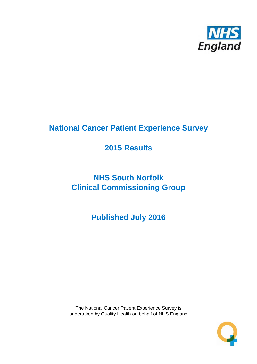

# **National Cancer Patient Experience Survey**

# **2015 Results**

# **NHS South Norfolk Clinical Commissioning Group**

**Published July 2016**

The National Cancer Patient Experience Survey is undertaken by Quality Health on behalf of NHS England

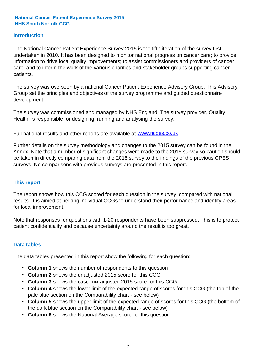# **Introduction**

The National Cancer Patient Experience Survey 2015 is the fifth iteration of the survey first undertaken in 2010. It has been designed to monitor national progress on cancer care; to provide information to drive local quality improvements; to assist commissioners and providers of cancer care; and to inform the work of the various charities and stakeholder groups supporting cancer patients.

The survey was overseen by a national Cancer Patient Experience Advisory Group. This Advisory Group set the principles and objectives of the survey programme and guided questionnaire development.

The survey was commissioned and managed by NHS England. The survey provider, Quality Health, is responsible for designing, running and analysing the survey.

Full national results and other reports are available at www.ncpes.co.uk

Further details on the survey methodology and changes to the 2015 survey can be found in the Annex. Note that a number of significant changes were made to the 2015 survey so caution should be taken in directly comparing data from the 2015 survey to the findings of the previous CPES surveys. No comparisons with previous surveys are presented in this report.

### **This report**

The report shows how this CCG scored for each question in the survey, compared with national results. It is aimed at helping individual CCGs to understand their performance and identify areas for local improvement.

Note that responses for questions with 1-20 respondents have been suppressed. This is to protect patient confidentiality and because uncertainty around the result is too great.

### **Data tables**

The data tables presented in this report show the following for each question:

- **Column 1** shows the number of respondents to this question
- **Column 2** shows the unadjusted 2015 score for this CCG
- **Column 3** shows the case-mix adjusted 2015 score for this CCG
- **Column 4** shows the lower limit of the expected range of scores for this CCG (the top of the pale blue section on the Comparability chart - see below)
- **Column 5** shows the upper limit of the expected range of scores for this CCG (the bottom of the dark blue section on the Comparability chart - see below)
- **Column 6** shows the National Average score for this question.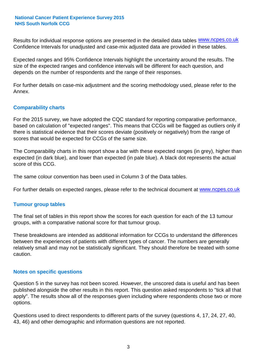Results for individual response options are presented in the detailed data tables **WWW.ncpes.co.uk** Confidence Intervals for unadjusted and case-mix adjusted data are provided in these tables.

Expected ranges and 95% Confidence Intervals highlight the uncertainty around the results. The size of the expected ranges and confidence intervals will be different for each question, and depends on the number of respondents and the range of their responses.

For further details on case-mix adjustment and the scoring methodology used, please refer to the Annex.

# **Comparability charts**

For the 2015 survey, we have adopted the CQC standard for reporting comparative performance, based on calculation of "expected ranges". This means that CCGs will be flagged as outliers only if there is statistical evidence that their scores deviate (positively or negatively) from the range of scores that would be expected for CCGs of the same size.

The Comparability charts in this report show a bar with these expected ranges (in grey), higher than expected (in dark blue), and lower than expected (in pale blue). A black dot represents the actual score of this CCG.

The same colour convention has been used in Column 3 of the Data tables.

For further details on expected ranges, please refer to the technical document at **www.ncpes.co.uk** 

### **Tumour group tables**

The final set of tables in this report show the scores for each question for each of the 13 tumour groups, with a comparative national score for that tumour group.

These breakdowns are intended as additional information for CCGs to understand the differences between the experiences of patients with different types of cancer. The numbers are generally relatively small and may not be statistically significant. They should therefore be treated with some caution.

### **Notes on specific questions**

Question 5 in the survey has not been scored. However, the unscored data is useful and has been published alongside the other results in this report. This question asked respondents to "tick all that apply". The results show all of the responses given including where respondents chose two or more options.

Questions used to direct respondents to different parts of the survey (questions 4, 17, 24, 27, 40, 43, 46) and other demographic and information questions are not reported.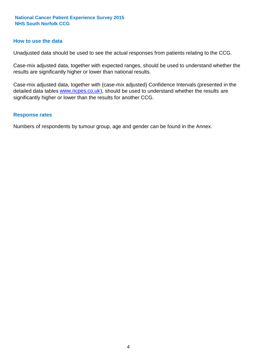### **How to use the data**

Unadjusted data should be used to see the actual responses from patients relating to the CCG.

Case-mix adjusted data, together with expected ranges, should be used to understand whether the results are significantly higher or lower than national results.

Case-mix adjusted data, together with (case-mix adjusted) Confidence Intervals (presented in the detailed data tables **www.ncpes.co.uk**), should be used to understand whether the results are significantly higher or lower than the results for another CCG.

#### **Response rates**

Numbers of respondents by tumour group, age and gender can be found in the Annex.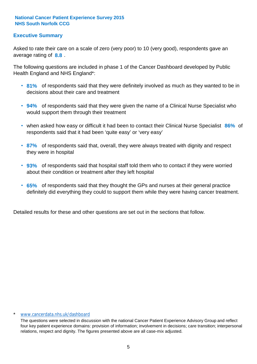# **Executive Summary**

average rating of **8.8**. Asked to rate their care on a scale of zero (very poor) to 10 (very good), respondents gave an

The following questions are included in phase 1 of the Cancer Dashboard developed by Public Health England and NHS England\*:

- **81%** of respondents said that they were definitely involved as much as they wanted to be in decisions about their care and treatment
- **94%** of respondents said that they were given the name of a Clinical Nurse Specialist who would support them through their treatment
- when asked how easy or difficult it had been to contact their Clinical Nurse Specialist 86% of respondents said that it had been 'quite easy' or 'very easy'
- **87%** of respondents said that, overall, they were always treated with dignity and respect they were in hospital
- **93%** of respondents said that hospital staff told them who to contact if they were worried about their condition or treatment after they left hospital
- **65%** of respondents said that they thought the GPs and nurses at their general practice definitely did everything they could to support them while they were having cancer treatment.

Detailed results for these and other questions are set out in the sections that follow.

#### \* www.cancerdata.nhs.uk/dashboard

The questions were selected in discussion with the national Cancer Patient Experience Advisory Group and reflect four key patient experience domains: provision of information; involvement in decisions; care transition; interpersonal relations, respect and dignity. The figures presented above are all case-mix adjusted.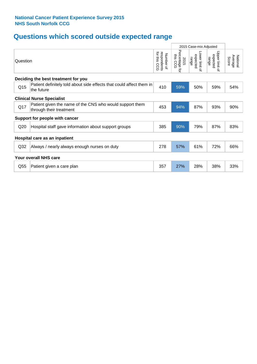# **Questions which scored outside expected range**

|                                  |                                                                                     |                                             |                                               | 2015 Case-mix Adjusted              |                                     |                              |  |  |
|----------------------------------|-------------------------------------------------------------------------------------|---------------------------------------------|-----------------------------------------------|-------------------------------------|-------------------------------------|------------------------------|--|--|
| Question                         |                                                                                     | for this<br>respondents<br>Number of<br>င္လ | Percentage<br>ins<br>2015<br>CCG<br>$\vec{q}$ | Lower limit of<br>expected<br>range | Upper limit of<br>expected<br>range | Average<br>National<br>Score |  |  |
|                                  | Deciding the best treatment for you                                                 |                                             |                                               |                                     |                                     |                              |  |  |
| Q <sub>15</sub>                  | Patient definitely told about side effects that could affect them in<br>the future  | 410                                         | 59%                                           | 50%                                 | 59%                                 | 54%                          |  |  |
| <b>Clinical Nurse Specialist</b> |                                                                                     |                                             |                                               |                                     |                                     |                              |  |  |
| Q17                              | Patient given the name of the CNS who would support them<br>through their treatment | 453                                         | 94%                                           | 87%                                 | 93%                                 | 90%                          |  |  |
|                                  | Support for people with cancer                                                      |                                             |                                               |                                     |                                     |                              |  |  |
| Q <sub>20</sub>                  | Hospital staff gave information about support groups                                | 385                                         | 90%                                           | 79%                                 | 87%                                 | 83%                          |  |  |
|                                  | Hospital care as an inpatient                                                       |                                             |                                               |                                     |                                     |                              |  |  |
| Q32                              | Always / nearly always enough nurses on duty                                        | 278                                         | 57%                                           | 61%                                 | 72%                                 | 66%                          |  |  |
|                                  | <b>Your overall NHS care</b>                                                        |                                             |                                               |                                     |                                     |                              |  |  |
| Q55                              | Patient given a care plan                                                           | 357                                         | 27%                                           | 28%                                 | 38%                                 | 33%                          |  |  |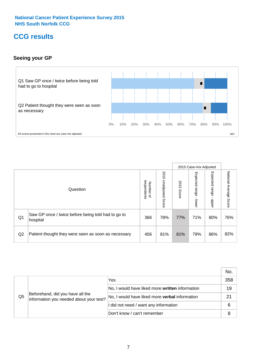# **CCG results**

# **Seeing your GP**



|    |                                                                |                          |                             |               | 2015 Case-mix Adjusted     |                            |                           |
|----|----------------------------------------------------------------|--------------------------|-----------------------------|---------------|----------------------------|----------------------------|---------------------------|
|    | Question                                                       | respondents<br>Number of | 2015<br>Unadjusted<br>Score | 2015<br>Score | Expected<br>range<br>lower | Expected<br>range<br>nbber | National Average<br>Score |
| Q1 | Saw GP once / twice before being told had to go to<br>hospital | 366                      | 78%                         | 77%           | 71%                        | 80%                        | 76%                       |
| Q2 | Patient thought they were seen as soon as necessary            | 456                      | 81%                         | 81%           | 79%                        | 86%                        | 82%                       |

|                |                                                                             |                                                 | No. |
|----------------|-----------------------------------------------------------------------------|-------------------------------------------------|-----|
|                | Beforehand, did you have all the<br>information you needed about your test? | Yes                                             | 358 |
|                |                                                                             | No, I would have liked more written information | 19  |
| Q <sub>5</sub> |                                                                             | No, I would have liked more verbal information  | 21  |
|                |                                                                             | I did not need / want any information           | 6   |
|                |                                                                             | Don't know / can't remember                     |     |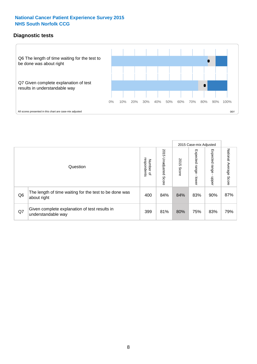# **Diagnostic tests**



|                |                                                                       |                                   |                             |               | 2015 Case-mix Adjusted  |                         |                           |
|----------------|-----------------------------------------------------------------------|-----------------------------------|-----------------------------|---------------|-------------------------|-------------------------|---------------------------|
|                | Question                                                              | respondents<br>Number<br>$\Omega$ | 2015<br>Unadjusted<br>Score | 2015<br>Score | Expected range<br>lower | Expected range<br>nbber | National Average<br>Score |
| Q <sub>6</sub> | The length of time waiting for the test to be done was<br>about right | 400                               | 84%                         | 84%           | 83%                     | 90%                     | 87%                       |
| Q7             | Given complete explanation of test results in<br>understandable way   | 399                               | 81%                         | 80%           | 75%                     | 83%                     | 79%                       |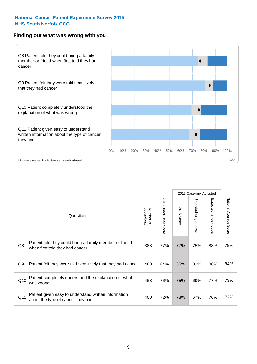### **Finding out what was wrong with you**



|     |                                                                                            |                          |                                 |               | 2015 Case-mix Adjusted                      |                                         |                        |
|-----|--------------------------------------------------------------------------------------------|--------------------------|---------------------------------|---------------|---------------------------------------------|-----------------------------------------|------------------------|
|     | Question                                                                                   | respondents<br>Number of | 2015<br><b>Unadjusted Score</b> | 2015<br>Score | Expected range<br>$\blacksquare$<br>- lower | Expected range<br>$\mathbf{r}$<br>nbber | National Average Score |
| Q8  | Patient told they could bring a family member or friend<br>when first told they had cancer | 388                      | 77%                             | 77%           | 75%                                         | 83%                                     | 79%                    |
| Q9  | Patient felt they were told sensitively that they had cancer                               | 460                      | 84%                             | 85%           | 81%                                         | 88%                                     | 84%                    |
| Q10 | Patient completely understood the explanation of what<br>was wrong                         | 468                      | 76%                             | 75%           | 69%                                         | 77%                                     | 73%                    |
| Q11 | Patient given easy to understand written information<br>about the type of cancer they had  | 400                      | 72%                             | 73%           | 67%                                         | 76%                                     | 72%                    |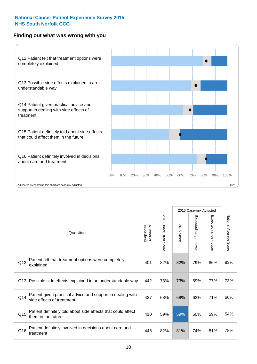# **Finding out what was wrong with you**



|                 |                                                                                         |                          |                       |               | 2015 Case-mix Adjusted                  |                           |                        |
|-----------------|-----------------------------------------------------------------------------------------|--------------------------|-----------------------|---------------|-----------------------------------------|---------------------------|------------------------|
| Question        |                                                                                         | respondents<br>Number of | 2015 Unadjusted Score | 2015<br>Score | Expected range<br>$\mathbf{r}$<br>lower | Expected range -<br>nbber | National Average Score |
| Q12             | Patient felt that treatment options were completely<br>explained                        | 401                      | 82%                   | 82%           | 79%                                     | 86%                       | 83%                    |
| Q13             | Possible side effects explained in an understandable way                                | 442                      | 73%                   | 73%           | 69%                                     | 77%                       | 73%                    |
| Q14             | Patient given practical advice and support in dealing with<br>side effects of treatment | 437                      | 68%                   | 68%           | 62%                                     | 71%                       | 66%                    |
| Q <sub>15</sub> | Patient definitely told about side effects that could affect<br>them in the future      | 410                      | 59%                   | 59%           | 50%                                     | 59%                       | 54%                    |
| Q16             | Patient definitely involved in decisions about care and<br>treatment                    | 446                      | 82%                   | 81%           | 74%                                     | 81%                       | 78%                    |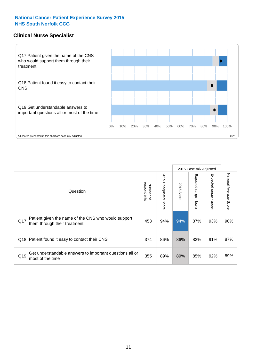# **Clinical Nurse Specialist**



|     |                                                                                     |                          |                       |               | 2015 Case-mix Adjusted  |                         |                                  |
|-----|-------------------------------------------------------------------------------------|--------------------------|-----------------------|---------------|-------------------------|-------------------------|----------------------------------|
|     | Question                                                                            | respondents<br>Number of | 2015 Unadjusted Score | 2015<br>Score | Expected range<br>lower | Expected range<br>nbber | National Average<br><b>Score</b> |
| Q17 | Patient given the name of the CNS who would support<br>them through their treatment | 453                      | 94%                   | 94%           | 87%                     | 93%                     | 90%                              |
|     | Q18 Patient found it easy to contact their CNS                                      | 374                      | 86%                   | 86%           | 82%                     | 91%                     | 87%                              |
| Q19 | Get understandable answers to important questions all or<br>most of the time        | 355                      | 89%                   | 89%           | 85%                     | 92%                     | 89%                              |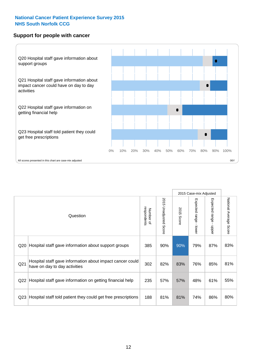# **Support for people with cancer**



|                 |                                                                                            |                          |                                 |               | 2015 Case-mix Adjusted  |                                           |                        |
|-----------------|--------------------------------------------------------------------------------------------|--------------------------|---------------------------------|---------------|-------------------------|-------------------------------------------|------------------------|
|                 | Question                                                                                   | respondents<br>Number of | 2015<br><b>Unadjusted Score</b> | 2015<br>Score | Expected range<br>lower | Expected range<br>$\blacksquare$<br>nbber | National Average Score |
| Q20             | Hospital staff gave information about support groups                                       | 385                      | 90%                             | 90%           | 79%                     | 87%                                       | 83%                    |
| Q <sub>21</sub> | Hospital staff gave information about impact cancer could<br>have on day to day activities | 302                      | 82%                             | 83%           | 76%                     | 85%                                       | 81%                    |
| Q22             | Hospital staff gave information on getting financial help                                  | 235                      | 57%                             | 57%           | 48%                     | 61%                                       | 55%                    |
| Q <sub>23</sub> | Hospital staff told patient they could get free prescriptions                              | 188                      | 81%                             | 81%           | 74%                     | 86%                                       | 80%                    |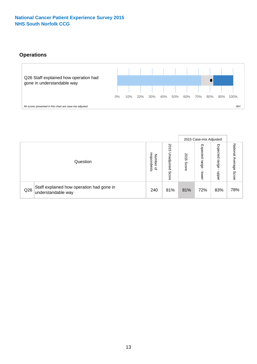# **Operations**



|     |                                                                 |                                              |                             |               | 2015 Case-mix Adjusted     |                            |                              |
|-----|-----------------------------------------------------------------|----------------------------------------------|-----------------------------|---------------|----------------------------|----------------------------|------------------------------|
|     | Question                                                        | respondents<br>Number<br>$\overline{\sigma}$ | 2015<br>Unadjusted<br>Score | 2015<br>Score | Expected<br>range<br>lower | Expected<br>range<br>doper | National<br>Average<br>Score |
| Q26 | Staff explained how operation had gone in<br>understandable way | 240                                          | 81%                         | 81%           | 72%                        | 83%                        | 78%                          |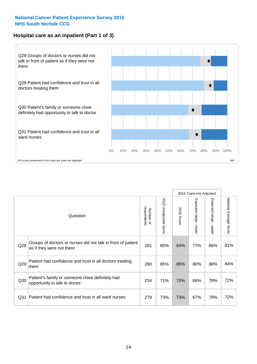# **Hospital care as an inpatient (Part 1 of 3)**



All scores presented in this chart are case-mix adjusted  $06Y$ 

|                 |                                                                                           |                          |                                 |               | 2015 Case-mix Adjusted                    |                           |                        |
|-----------------|-------------------------------------------------------------------------------------------|--------------------------|---------------------------------|---------------|-------------------------------------------|---------------------------|------------------------|
|                 | Question                                                                                  | respondents<br>Number of | 2015<br><b>Unadjusted Score</b> | 2015<br>Score | Expected range<br>$\blacksquare$<br>lower | Expected range<br>- nbber | National Average Score |
| Q28             | Groups of doctors or nurses did not talk in front of patient<br>as if they were not there | 281                      | 85%                             | 84%           | 77%                                       | 86%                       | 81%                    |
| Q29             | Patient had confidence and trust in all doctors treating<br>them                          | 280                      | 85%                             | 85%           | 80%                                       | 88%                       | 84%                    |
| Q30             | Patient's family or someone close definitely had<br>opportunity to talk to doctor         | 234                      | 71%                             | 70%           | 66%                                       | 78%                       | 72%                    |
| Q <sub>31</sub> | Patient had confidence and trust in all ward nurses                                       | 279                      | 73%                             | 73%           | 67%                                       | 78%                       | 72%                    |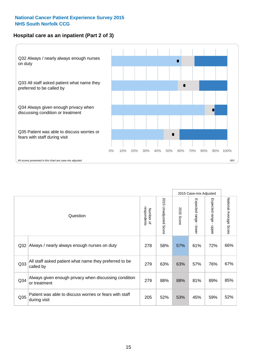# **Hospital care as an inpatient (Part 2 of 3)**



|                 |                                                                         |                          |                                 |               | 2015 Case-mix Adjusted                  |                        |                        |
|-----------------|-------------------------------------------------------------------------|--------------------------|---------------------------------|---------------|-----------------------------------------|------------------------|------------------------|
|                 | Question                                                                | respondents<br>Number of | 2015<br><b>Unadjusted Score</b> | 2015<br>Score | Expected range<br>$\mathbf{r}$<br>lower | Expected range - upper | National Average Score |
| Q <sub>32</sub> | Always / nearly always enough nurses on duty                            | 278                      | 58%                             | 57%           | 61%                                     | 72%                    | 66%                    |
| Q <sub>33</sub> | All staff asked patient what name they preferred to be<br>called by     | 279                      | 63%                             | 63%           | 57%                                     | 76%                    | 67%                    |
| Q <sub>34</sub> | Always given enough privacy when discussing condition<br>or treatment   | 279                      | 88%                             | 88%           | 81%                                     | 89%                    | 85%                    |
| Q35             | Patient was able to discuss worries or fears with staff<br>during visit | 205                      | 52%                             | 53%           | 45%                                     | 59%                    | 52%                    |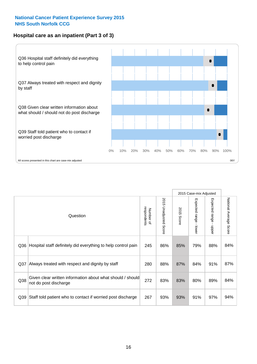# **Hospital care as an inpatient (Part 3 of 3)**



|                 |                                                                                     |                          |                                 |               | 2015 Case-mix Adjusted  |                                           |                        |
|-----------------|-------------------------------------------------------------------------------------|--------------------------|---------------------------------|---------------|-------------------------|-------------------------------------------|------------------------|
|                 | Question                                                                            | respondents<br>Number of | 2015<br><b>Unadjusted Score</b> | 2015<br>Score | Expected range<br>lower | Expected range<br>$\blacksquare$<br>nbber | National Average Score |
| Q36             | Hospital staff definitely did everything to help control pain                       | 245                      | 86%                             | 85%           | 79%                     | 88%                                       | 84%                    |
| Q <sub>37</sub> | Always treated with respect and dignity by staff                                    | 280                      | 88%                             | 87%           | 84%                     | 91%                                       | 87%                    |
| Q38             | Given clear written information about what should / should<br>not do post discharge | 272                      | 83%                             | 83%           | 80%                     | 89%                                       | 84%                    |
| Q39             | Staff told patient who to contact if worried post discharge                         | 267                      | 93%                             | 93%           | 91%                     | 97%                                       | 94%                    |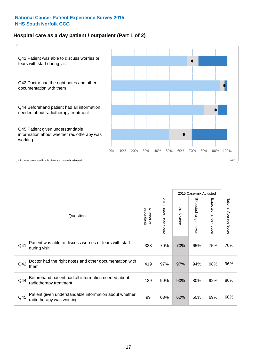# **Hospital care as a day patient / outpatient (Part 1 of 2)**



|     |                                                                                    |                          |                                 | 2015 Case-mix Adjusted |                                           |                                           |                        |
|-----|------------------------------------------------------------------------------------|--------------------------|---------------------------------|------------------------|-------------------------------------------|-------------------------------------------|------------------------|
|     | Question                                                                           | respondents<br>Number of | 2015<br><b>Unadjusted Score</b> | 2015<br>Score          | Expected range<br>$\blacksquare$<br>lower | Expected range<br>$\blacksquare$<br>nbber | National Average Score |
| Q41 | Patient was able to discuss worries or fears with staff<br>during visit            | 338                      | 70%                             | 70%                    | 65%                                       | 75%                                       | 70%                    |
| Q42 | Doctor had the right notes and other documentation with<br>them                    | 419                      | 97%                             | 97%                    | 94%                                       | 98%                                       | 96%                    |
| Q44 | Beforehand patient had all information needed about<br>radiotherapy treatment      | 129                      | 90%                             | 90%                    | 80%                                       | 92%                                       | 86%                    |
| Q45 | Patient given understandable information about whether<br>radiotherapy was working | 99                       | 63%                             | 62%                    | 50%                                       | 69%                                       | 60%                    |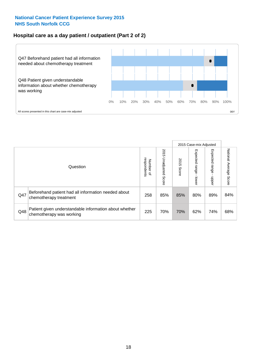# **Hospital care as a day patient / outpatient (Part 2 of 2)**



|     |                                                                                    |                             |                             | 2015 Case-mix Adjusted |                                   |                         |                           |
|-----|------------------------------------------------------------------------------------|-----------------------------|-----------------------------|------------------------|-----------------------------------|-------------------------|---------------------------|
|     | Question                                                                           | respondents<br>Number<br>டி | 2015<br>Unadjusted<br>Score | 2015<br>Score          | Expected<br><b>Lange</b><br>lower | Expected range<br>doper | National Average<br>Score |
| Q47 | Beforehand patient had all information needed about<br>chemotherapy treatment      | 258                         | 85%                         | 85%                    | 80%                               | 89%                     | 84%                       |
| Q48 | Patient given understandable information about whether<br>chemotherapy was working | 225                         | 70%                         | 70%                    | 62%                               | 74%                     | 68%                       |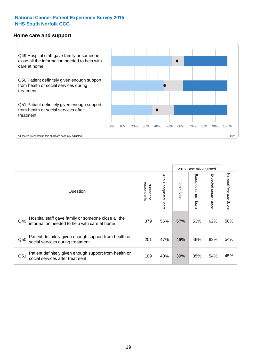#### **Home care and support**



All scores presented in this chart are case-mix adjusted

|                 |                                                                                                     |                          |                       | 2015 Case-mix Adjusted |                         |                         |                                  |
|-----------------|-----------------------------------------------------------------------------------------------------|--------------------------|-----------------------|------------------------|-------------------------|-------------------------|----------------------------------|
|                 | Question                                                                                            | respondents<br>Number of | 2015 Unadjusted Score | 2015<br>Score          | Expected range<br>lower | Expected range<br>nbber | National Average<br><b>Score</b> |
| Q49             | Hospital staff gave family or someone close all the<br>information needed to help with care at home | 379                      | 56%                   | 57%                    | 53%                     | 62%                     | 58%                              |
| Q50             | Patient definitely given enough support from health or<br>social services during treatment          | 201                      | 47%                   | 46%                    | 46%                     | 62%                     | 54%                              |
| Q <sub>51</sub> | Patient definitely given enough support from health or<br>social services after treatment           | 109                      | 40%                   | 39%                    | 35%                     | 54%                     | 45%                              |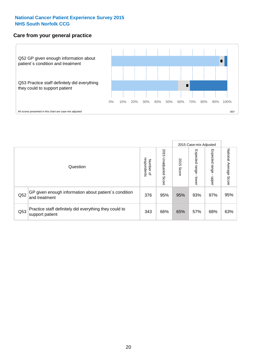# **Care from your general practice**



|     |                                                                           |                                         |                             | 2015 Case-mix Adjusted |                         |                           |                           |
|-----|---------------------------------------------------------------------------|-----------------------------------------|-----------------------------|------------------------|-------------------------|---------------------------|---------------------------|
|     | Question                                                                  | respondents<br>Number<br>$\overline{a}$ | 2015<br>Unadjusted<br>Score | 2015<br>Score          | Expected range<br>lower | Expected<br>ange<br>dpper | National Average<br>Score |
| Q52 | GP given enough information about patient's condition<br>and treatment    | 376                                     | 95%                         | 95%                    | 93%                     | 97%                       | 95%                       |
| Q53 | Practice staff definitely did everything they could to<br>support patient | 343                                     | 66%                         | 65%                    | 57%                     | 68%                       | 63%                       |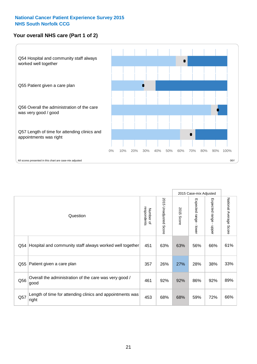# **Your overall NHS care (Part 1 of 2)**



|     |                                                                    |                          |                                 | 2015 Case-mix Adjusted |                                           |                           |                        |
|-----|--------------------------------------------------------------------|--------------------------|---------------------------------|------------------------|-------------------------------------------|---------------------------|------------------------|
|     | Question                                                           | respondents<br>Number of | 2015<br><b>Unadjusted Score</b> | 2015<br>Score          | Expected range<br>$\blacksquare$<br>lower | Expected range<br>- nbber | National Average Score |
| Q54 | Hospital and community staff always worked well together           | 451                      | 63%                             | 63%                    | 56%                                       | 66%                       | 61%                    |
| Q55 | Patient given a care plan                                          | 357                      | 26%                             | 27%                    | 28%                                       | 38%                       | 33%                    |
| Q56 | Overall the administration of the care was very good /<br>good     | 461                      | 92%                             | 92%                    | 86%                                       | 92%                       | 89%                    |
| Q57 | Length of time for attending clinics and appointments was<br>right | 453                      | 68%                             | 68%                    | 59%                                       | 72%                       | 66%                    |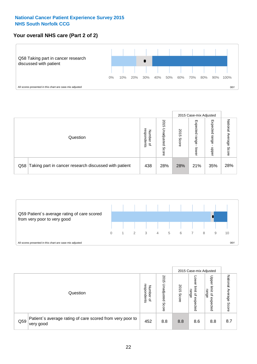# **Your overall NHS care (Part 2 of 2)**



|     |                                                       |                                              |                             |               |                            | 2015 Case-mix Adjusted     |                        |
|-----|-------------------------------------------------------|----------------------------------------------|-----------------------------|---------------|----------------------------|----------------------------|------------------------|
|     | Question                                              | respondents<br>Number<br>$\overline{\sigma}$ | 2015<br>Inadjusted<br>Score | 2015<br>Score | Expected<br>range<br>lower | Expected<br>range<br>doper | National Average Score |
| Q58 | Taking part in cancer research discussed with patient | 438                                          | 28%                         | 28%           | 21%                        | 35%                        | 28%                    |



|     |                                                                        |                                   |                             |               |                                                           | 2015 Case-mix Adjusted                                |                              |
|-----|------------------------------------------------------------------------|-----------------------------------|-----------------------------|---------------|-----------------------------------------------------------|-------------------------------------------------------|------------------------------|
|     | Question                                                               | respondents<br>Number<br>$\Omega$ | 2015<br>Jnadjusted<br>Score | 2015<br>Score | OWer<br>limit<br>range<br>$\overline{\sigma}$<br>expected | Upper<br>limit<br>range<br>$\overline{a}$<br>expected | National<br>Average<br>Score |
| Q59 | Patient's average rating of care scored from very poor to<br>very good | 452                               | 8.8                         | 8.8           | 8.6                                                       | 8.8                                                   | 8.7                          |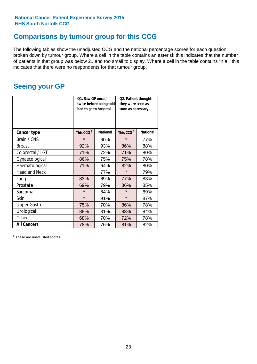# **Comparisons by tumour group for this CCG**

The following tables show the unadjusted CCG and the national percentage scores for each question broken down by tumour group. Where a cell in the table contains an asterisk this indicates that the number of patients in that group was below 21 and too small to display. Where a cell in the table contains "n.a." this indicates that there were no respondents for that tumour group.

# **Seeing your GP**

|                      | Q1. Saw GP once /<br>had to go to hospital | twice before being told | Q2. Patient thought<br>they were seen as<br>soon as necessary |                 |  |
|----------------------|--------------------------------------------|-------------------------|---------------------------------------------------------------|-----------------|--|
| <b>Cancer type</b>   | This CCG <sup>\$</sup>                     | <b>National</b>         | This CCG <sup>\$</sup>                                        | <b>National</b> |  |
| Brain / CNS          | $\star$                                    | 60%                     | $\star$                                                       | 77%             |  |
| <b>Breast</b>        | 92%                                        | 93%                     | 86%                                                           | 88%             |  |
| Colorectal / LGT     | 71%                                        | 72%                     | 71%                                                           | 80%             |  |
| Gynaecological       | 86%                                        | 75%                     | 75%                                                           | 78%             |  |
| Haematological       | 71%                                        | 64%                     | 82%                                                           | 80%             |  |
| <b>Head and Neck</b> | $\star$                                    | 77%                     | $\star$                                                       | 79%             |  |
| Lung                 | 83%                                        | 69%                     | 77%                                                           | 83%             |  |
| Prostate             | 69%                                        | 79%                     | 86%                                                           | 85%             |  |
| Sarcoma              | $\star$                                    | 64%                     | $\star$                                                       | 69%             |  |
| <b>Skin</b>          | $\star$                                    | 91%                     | $\star$                                                       | 87%             |  |
| <b>Upper Gastro</b>  | 75%                                        | 70%                     | 86%                                                           | 78%             |  |
| Urological           | 88%                                        | 81%                     | 83%                                                           | 84%             |  |
| Other                | 68%<br>70%                                 |                         | 72%                                                           | 78%             |  |
| <b>All Cancers</b>   | 78%                                        | 76%                     | 81%                                                           | 82%             |  |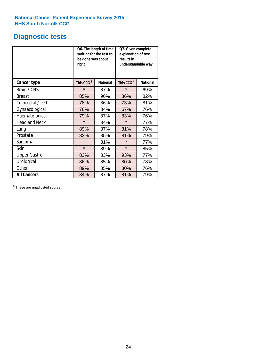# **Diagnostic tests**

|                      | be done was about<br>right | Q6. The length of time<br>waiting for the test to | Q7. Given complete<br>explanation of test<br>results in<br>understandable way |                 |  |
|----------------------|----------------------------|---------------------------------------------------|-------------------------------------------------------------------------------|-----------------|--|
| <b>Cancer type</b>   | This CCG <sup>\$</sup>     | <b>National</b>                                   | This CCG <sup>\$</sup>                                                        | <b>National</b> |  |
| Brain / CNS          | $\star$                    | 87%                                               | $\star$                                                                       | 69%             |  |
| Breast               | 85%                        | 90%                                               | 86%                                                                           | 82%             |  |
| Colorectal / LGT     | 78%                        | 86%                                               | 73%                                                                           | 81%             |  |
| Gynaecological       | 76%                        | 84%                                               | 67%                                                                           | 76%             |  |
| Haematological       | 79%                        | 87%                                               | 83%                                                                           | 76%             |  |
| <b>Head and Neck</b> | $\star$                    | 84%                                               | $\star$                                                                       | 77%             |  |
| Lung                 | 89%                        | 87%                                               | 81%                                                                           | 78%             |  |
| Prostate             | 82%                        | 85%                                               | 81%                                                                           | 79%             |  |
| Sarcoma              | $\star$                    | 81%                                               | $\star$                                                                       | 77%             |  |
| Skin                 | $\star$                    | 89%                                               | $\star$                                                                       | 85%             |  |
| <b>Upper Gastro</b>  | 83%                        | 83%                                               | 93%                                                                           | 77%             |  |
| Urological           | 86%                        | 85%                                               | 80%                                                                           | 78%             |  |
| Other                | 89%                        | 85%                                               | 80%                                                                           | 76%             |  |
| <b>All Cancers</b>   | 84%                        | 87%                                               | 81%                                                                           | 79%             |  |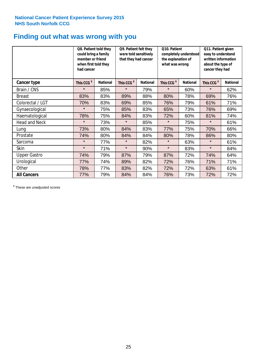# **Finding out what was wrong with you**

|                      | Q8. Patient told they<br>could bring a family<br>member or friend<br>when first told they<br>had cancer |                 | Q9. Patient felt they<br>were told sensitively<br>that they had cancer |                 | Q10. Patient<br>completely understood<br>the explanation of<br>what was wrong |                 | Q11. Patient given<br>easy to understand<br>written information<br>about the type of<br>cancer they had |                 |
|----------------------|---------------------------------------------------------------------------------------------------------|-----------------|------------------------------------------------------------------------|-----------------|-------------------------------------------------------------------------------|-----------------|---------------------------------------------------------------------------------------------------------|-----------------|
| Cancer type          | This CCG <sup>\$</sup>                                                                                  | <b>National</b> | This CCG <sup>\$</sup>                                                 | <b>National</b> | This CCG <sup>\$</sup>                                                        | <b>National</b> | This CCG <sup>\$</sup>                                                                                  | <b>National</b> |
| Brain / CNS          | $\star$                                                                                                 | 85%             | $\star$                                                                | 79%             | $\star$                                                                       | 60%             | $\star$                                                                                                 | 62%             |
| <b>Breast</b>        | 83%                                                                                                     | 83%             | 89%                                                                    | 88%             | 80%                                                                           | 78%             | 69%                                                                                                     | 76%             |
| Colorectal / LGT     | 70%                                                                                                     | 83%             | 69%                                                                    | 85%             | 76%                                                                           | 79%             | 61%                                                                                                     | 71%             |
| Gynaecological       | $\star$                                                                                                 | 75%             | 85%                                                                    | 83%             | 65%                                                                           | 73%             | 76%                                                                                                     | 69%             |
| Haematological       | 78%                                                                                                     | 75%             | 84%                                                                    | 83%             | 72%                                                                           | 60%             | 81%                                                                                                     | 74%             |
| <b>Head and Neck</b> | $\star$                                                                                                 | 73%             | $\star$                                                                | 85%             | $\star$                                                                       | 75%             | $\star$                                                                                                 | 61%             |
| Lung                 | 73%                                                                                                     | 80%             | 84%                                                                    | 83%             | 77%                                                                           | 75%             | 70%                                                                                                     | 66%             |
| Prostate             | 74%                                                                                                     | 80%             | 84%                                                                    | 84%             | 80%                                                                           | 78%             | 86%                                                                                                     | 80%             |
| Sarcoma              | $\star$                                                                                                 | 77%             | $\star$                                                                | 82%             | $\star$                                                                       | 63%             | $\star$                                                                                                 | 61%             |
| Skin                 | $\star$                                                                                                 | 71%             | $\star$                                                                | 90%             | $\star$                                                                       | 83%             | $\star$                                                                                                 | 84%             |
| <b>Upper Gastro</b>  | 74%                                                                                                     | 79%             | 87%                                                                    | 79%             | 87%                                                                           | 72%             | 74%                                                                                                     | 64%             |
| Urological           | 77%                                                                                                     | 74%             | 89%                                                                    | 82%             | 72%                                                                           | 76%             | 71%                                                                                                     | 71%             |
| Other                | 78%                                                                                                     | 77%             | 83%                                                                    | 82%             | 72%                                                                           | 72%             | 63%                                                                                                     | 61%             |
| <b>All Cancers</b>   | 77%                                                                                                     | 79%             | 84%                                                                    | 84%             | 76%                                                                           | 73%             | 72%                                                                                                     | 72%             |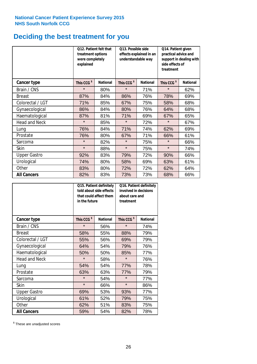# **Deciding the best treatment for you**

|                      | <b>Q12. Patient felt that</b><br>treatment options<br>were completely<br>explained |                 | Q13. Possible side<br>understandable way | effects explained in an | Q14. Patient given<br>practical advice and<br>support in dealing with<br>side effects of<br>treatment |                 |  |
|----------------------|------------------------------------------------------------------------------------|-----------------|------------------------------------------|-------------------------|-------------------------------------------------------------------------------------------------------|-----------------|--|
| <b>Cancer type</b>   | This CCG <sup>\$</sup>                                                             | <b>National</b> | This CCG <sup>\$</sup>                   | <b>National</b>         | This CCG <sup>\$</sup>                                                                                | <b>National</b> |  |
| Brain / CNS          | $\star$                                                                            | 80%             | $\star$                                  | 71%                     | $\star$                                                                                               | 62%             |  |
| <b>Breast</b>        | 87%                                                                                | 84%             | 86%                                      | 76%                     | 78%                                                                                                   | 69%             |  |
| Colorectal / LGT     | 71%                                                                                | 85%             | 67%                                      | 75%                     | 58%                                                                                                   | 68%             |  |
| Gynaecological       | 86%                                                                                | 84%             | 80%                                      | 76%                     | 64%                                                                                                   | 68%             |  |
| Haematological       | 87%                                                                                | 81%             | 71%                                      | 69%                     | 67%                                                                                                   | 65%             |  |
| <b>Head and Neck</b> | $\star$                                                                            | 85%             | $\star$                                  | 72%                     | $\star$                                                                                               | 67%             |  |
| Lung                 | 76%                                                                                | 84%             | 71%                                      | 74%                     | 62%                                                                                                   | 69%             |  |
| Prostate             | 76%                                                                                | 80%             | 67%                                      | 71%                     | 66%                                                                                                   | 61%             |  |
| Sarcoma              | $\star$                                                                            | 82%             | $\star$                                  | 75%                     | $\star$                                                                                               | 66%             |  |
| Skin                 | $\star$                                                                            | 88%             | $\star$                                  | 75%                     | $\star$                                                                                               | 74%             |  |
| <b>Upper Gastro</b>  | 92%                                                                                | 83%             | 79%                                      | 72%                     | 90%                                                                                                   | 66%             |  |
| Urological           | 74%                                                                                | 80%             | 58%                                      | 69%                     | 63%                                                                                                   | 61%             |  |
| Other                | 83%                                                                                | 80%             | 72%                                      | 72%                     | 62%                                                                                                   | 64%             |  |
| <b>All Cancers</b>   | 82%                                                                                | 83%             | 73%                                      | 73%                     | 68%                                                                                                   | 66%             |  |

|                      | in the future          | Q15. Patient definitely<br>told about side effects<br>that could affect them | Q16. Patient definitely<br>involved in decisions<br>about care and<br>treatment |                 |  |
|----------------------|------------------------|------------------------------------------------------------------------------|---------------------------------------------------------------------------------|-----------------|--|
| <b>Cancer type</b>   | This CCG <sup>\$</sup> | <b>National</b>                                                              | This CCG <sup>\$</sup>                                                          | <b>National</b> |  |
| Brain / CNS          | $\star$                | 56%                                                                          | $\star$                                                                         | 74%             |  |
| <b>Breast</b>        | 58%                    | 55%                                                                          | 88%                                                                             | 79%             |  |
| Colorectal / LGT     | 55%                    | 56%                                                                          | 69%                                                                             | 79%             |  |
| Gynaecological       | 54%<br>64%             |                                                                              | 79%                                                                             | 76%             |  |
| Haematological       | 50%                    | 50%                                                                          | 85%                                                                             | 77%             |  |
| <b>Head and Neck</b> | $\star$                | 58%                                                                          | $\star$                                                                         | 76%             |  |
| Lung                 | 54%                    | 54%                                                                          | 77%                                                                             | 78%             |  |
| Prostate             | 63%                    | 63%                                                                          | 77%                                                                             | 79%             |  |
| Sarcoma              | $\star$                | 54%                                                                          | $\star$                                                                         | 77%             |  |
| Skin                 | $\star$                | 66%                                                                          | $\star$                                                                         | 86%             |  |
| <b>Upper Gastro</b>  | 69%                    | 53%                                                                          | 93%                                                                             | 77%             |  |
| Urological           | 61%                    | 52%                                                                          | 79%                                                                             | 75%             |  |
| Other                | 62%                    | 51%                                                                          | 83%                                                                             | 75%             |  |
| <b>All Cancers</b>   | 59%                    | 54%                                                                          | 82%                                                                             | 78%             |  |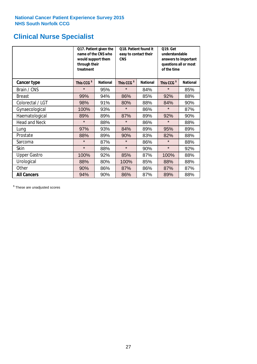# **Clinical Nurse Specialist**

|                      | would support them<br>through their<br>treatment | Q17. Patient given the<br>name of the CNS who | Q18. Patient found it<br>easy to contact their<br><b>CNS</b> |                 | <b>Q19. Get</b><br>understandable<br>answers to important<br>questions all or most<br>of the time |                 |
|----------------------|--------------------------------------------------|-----------------------------------------------|--------------------------------------------------------------|-----------------|---------------------------------------------------------------------------------------------------|-----------------|
| <b>Cancer type</b>   | This CCG <sup>\$</sup>                           | <b>National</b>                               | This CCG <sup>\$</sup>                                       | <b>National</b> | This CCG <sup>\$</sup>                                                                            | <b>National</b> |
| Brain / CNS          | $\star$                                          | 95%                                           | $\star$                                                      | 84%             | $\star$                                                                                           | 85%             |
| <b>Breast</b>        | 99%                                              | 94%                                           | 86%                                                          | 85%             | 92%                                                                                               | 88%             |
| Colorectal / LGT     | 98%                                              | 91%                                           | 80%                                                          | 88%             | 84%                                                                                               | 90%             |
| Gynaecological       | 100%                                             | 93%                                           | $\star$                                                      | 86%             | $\star$                                                                                           | 87%             |
| Haematological       | 89%                                              | 89%                                           | 87%                                                          | 89%             | 92%                                                                                               | 90%             |
| <b>Head and Neck</b> | $\star$                                          | 88%                                           | $\star$                                                      | 86%             | $\star$                                                                                           | 88%             |
| Lung                 | 97%                                              | 93%                                           | 84%                                                          | 89%             | 95%                                                                                               | 89%             |
| Prostate             | 88%                                              | 89%                                           | 90%                                                          | 83%             | 82%                                                                                               | 88%             |
| Sarcoma              | $\star$                                          | 87%                                           | $\star$                                                      | 86%             | $\star$                                                                                           | 88%             |
| Skin                 | $\star$                                          | 88%                                           | $\star$                                                      | 90%             | $\star$                                                                                           | 92%             |
| <b>Upper Gastro</b>  | 100%                                             | 92%                                           | 85%                                                          | 87%             | 100%                                                                                              | 88%             |
| Urological           | 88%                                              | 80%                                           | 100%                                                         | 85%             | 88%                                                                                               | 88%             |
| Other                | 90%                                              | 86%                                           | 87%                                                          | 86%             | 87%                                                                                               | 87%             |
| <b>All Cancers</b>   | 94%                                              | 90%                                           | 86%                                                          | 87%             | 89%                                                                                               | 88%             |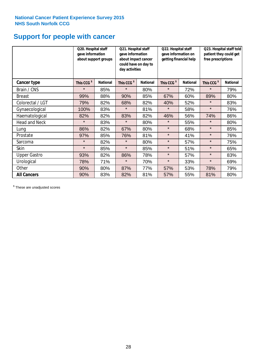# **Support for people with cancer**

|                      | Q20. Hospital staff<br>gave information | about support groups | Q21. Hospital staff<br>gave information<br>about impact cancer<br>could have on day to<br>day activities |                 | Q22. Hospital staff<br>gave information on<br>getting financial help |                 | Q23. Hospital staff told<br>patient they could get<br>free prescriptions |                 |
|----------------------|-----------------------------------------|----------------------|----------------------------------------------------------------------------------------------------------|-----------------|----------------------------------------------------------------------|-----------------|--------------------------------------------------------------------------|-----------------|
| Cancer type          | This CCG <sup>\$</sup>                  | <b>National</b>      | This CCG <sup>\$</sup>                                                                                   | <b>National</b> | This CCG <sup>\$</sup>                                               | <b>National</b> | This CCG <sup>\$</sup>                                                   | <b>National</b> |
| Brain / CNS          | $\star$                                 | 85%                  | $\star$                                                                                                  | 80%             | $\star$                                                              | 72%             | $\star$                                                                  | 79%             |
| <b>Breast</b>        | 99%                                     | 88%                  | 90%                                                                                                      | 85%             | 67%                                                                  | 60%             | 89%                                                                      | 80%             |
| Colorectal / LGT     | 79%                                     | 82%                  | 68%                                                                                                      | 82%             | 40%                                                                  | 52%             | $\star$                                                                  | 83%             |
| Gynaecological       | 100%                                    | 83%                  | $\star$                                                                                                  | 81%             | $\star$                                                              | 58%             | $\star$                                                                  | 76%             |
| Haematological       | 82%                                     | 82%                  | 83%                                                                                                      | 82%             | 46%                                                                  | 56%             | 74%                                                                      | 86%             |
| <b>Head and Neck</b> | $\star$                                 | 83%                  | $\star$                                                                                                  | 80%             | $\star$                                                              | 55%             | $\star$                                                                  | 80%             |
| Lung                 | 86%                                     | 82%                  | 67%                                                                                                      | 80%             | $\star$                                                              | 68%             | $\star$                                                                  | 85%             |
| Prostate             | 97%                                     | 85%                  | 76%                                                                                                      | 81%             | $\star$                                                              | 41%             | $\star$                                                                  | 76%             |
| Sarcoma              | $\star$                                 | 82%                  | $\star$                                                                                                  | 80%             | $\star$                                                              | 57%             | $\star$                                                                  | 75%             |
| Skin                 | $\star$                                 | 85%                  | $\star$                                                                                                  | 85%             | $\star$                                                              | 51%             | $\star$                                                                  | 65%             |
| <b>Upper Gastro</b>  | 93%                                     | 82%                  | 86%                                                                                                      | 78%             | $\star$                                                              | 57%             | $\star$                                                                  | 83%             |
| Urological           | 78%                                     | 71%                  | $\star$                                                                                                  | 70%             | $\star$                                                              | 33%             | $\star$                                                                  | 69%             |
| Other                | 90%                                     | 80%                  | 87%                                                                                                      | 77%             | 57%                                                                  | 53%             | 78%                                                                      | 79%             |
| <b>All Cancers</b>   | 90%                                     | 83%                  | 82%                                                                                                      | 81%             | 57%                                                                  | 55%             | 81%                                                                      | 80%             |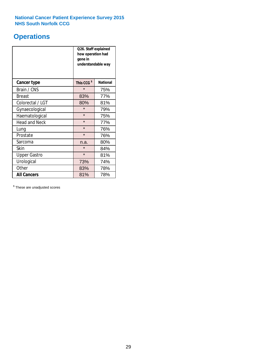# **Operations**

|                      | Q26. Staff explained<br>how operation had<br>gone in<br>understandable way |                 |  |  |  |
|----------------------|----------------------------------------------------------------------------|-----------------|--|--|--|
| <b>Cancer type</b>   | This CCG <sup>\$</sup>                                                     | <b>National</b> |  |  |  |
| Brain / CNS          | $\star$                                                                    | 75%             |  |  |  |
| <b>Breast</b>        | 83%                                                                        | 77%             |  |  |  |
| Colorectal / LGT     | 80%                                                                        | 81%             |  |  |  |
| Gynaecological       | $\star$                                                                    | 79%             |  |  |  |
| Haematological       | $\star$                                                                    | 75%             |  |  |  |
| <b>Head and Neck</b> | $\star$                                                                    | 77%             |  |  |  |
| Lung                 | $\star$                                                                    | 76%             |  |  |  |
| Prostate             | $\star$                                                                    | 76%             |  |  |  |
| Sarcoma              | n.a.                                                                       | 80%             |  |  |  |
| Skin                 | $\star$                                                                    | 84%             |  |  |  |
| <b>Upper Gastro</b>  | $\star$                                                                    | 81%             |  |  |  |
| Urological           | 73%                                                                        | 74%             |  |  |  |
| Other                | 83%<br>78%                                                                 |                 |  |  |  |
| <b>All Cancers</b>   | 81%<br>78%                                                                 |                 |  |  |  |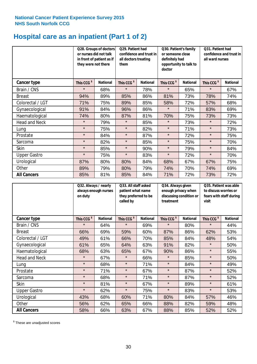# **Hospital care as an inpatient (Part 1 of 2)**

|                      | or nurses did not talk<br>they were not there | Q28. Groups of doctors<br>in front of patient as if | Q29. Patient had<br>confidence and trust in<br>all doctors treating<br>them |                 | Q30. Patient's family<br>or someone close<br>definitely had<br>opportunity to talk to<br>doctor |                 | Q31. Patient had<br>confidence and trust in I<br>all ward nurses |                 |
|----------------------|-----------------------------------------------|-----------------------------------------------------|-----------------------------------------------------------------------------|-----------------|-------------------------------------------------------------------------------------------------|-----------------|------------------------------------------------------------------|-----------------|
| Cancer type          | This CCG <sup>\$</sup>                        | <b>National</b>                                     | This CCG <sup>\$</sup>                                                      | <b>National</b> | This CCG <sup>\$</sup>                                                                          | <b>National</b> | This CCG <sup>\$</sup>                                           | <b>National</b> |
| Brain / CNS          | $\star$                                       | 68%                                                 | $\star$                                                                     | 78%             | $\star$                                                                                         | 65%             | $\star$                                                          | 67%             |
| <b>Breast</b>        | 94%                                           | 89%                                                 | 85%                                                                         | 86%             | 81%                                                                                             | 73%             | 78%                                                              | 74%             |
| Colorectal / LGT     | 71%                                           | 75%                                                 | 89%                                                                         | 85%             | 58%                                                                                             | 72%             | 57%                                                              | 68%             |
| Gynaecological       | 91%                                           | 84%                                                 | 96%                                                                         | 86%             | $\star$                                                                                         | 71%             | 83%                                                              | 69%             |
| Haematological       | 74%                                           | 80%                                                 | 87%                                                                         | 81%             | 70%                                                                                             | 75%             | 73%                                                              | 73%             |
| <b>Head and Neck</b> | $\star$                                       | 79%                                                 | $\star$                                                                     | 85%             | $\star$                                                                                         | 73%             | $\star$                                                          | 72%             |
| Lung                 | $\star$                                       | 75%                                                 | $\star$                                                                     | 82%             | $\star$                                                                                         | 71%             | $\star$                                                          | 73%             |
| Prostate             | $\star$                                       | 84%                                                 | $\star$                                                                     | 87%             | $\star$                                                                                         | 72%             | $\star$                                                          | 75%             |
| Sarcoma              | $\star$                                       | 82%                                                 | $\star$                                                                     | 85%             | $\star$                                                                                         | 75%             | $\star$                                                          | 70%             |
| Skin                 | $\star$                                       | 85%                                                 | $\star$                                                                     | 90%             | $\star$                                                                                         | 79%             | $\star$                                                          | 84%             |
| <b>Upper Gastro</b>  | $\star$                                       | 75%                                                 | $\star$                                                                     | 83%             | $\star$                                                                                         | 72%             | $\star$                                                          | 70%             |
| Urological           | 87%                                           | 80%                                                 | 80%                                                                         | 84%             | 68%                                                                                             | 67%             | 67%                                                              | 75%             |
| Other                | 89%                                           | 79%                                                 | 80%                                                                         | 79%             | 74%                                                                                             | 70%             | 74%                                                              | 69%             |
| <b>All Cancers</b>   | 85%                                           | 81%                                                 | 85%                                                                         | 84%             | 71%                                                                                             | 72%             | 73%                                                              | 72%             |

|                      | Q32. Always / nearly<br>always enough nurses<br>on duty |                 | Q33. All staff asked<br>patient what name<br>they preferred to be<br>called by |                 | Q34. Always given<br>enough privacy when<br>discussing condition or<br>treatment |                 | Q35. Patient was able<br>to discuss worries or<br>fears with staff during<br>visit |                 |
|----------------------|---------------------------------------------------------|-----------------|--------------------------------------------------------------------------------|-----------------|----------------------------------------------------------------------------------|-----------------|------------------------------------------------------------------------------------|-----------------|
| <b>Cancer type</b>   | This CCG <sup>\$</sup>                                  | <b>National</b> | This CCG <sup>\$</sup>                                                         | <b>National</b> | This CCG <sup>\$</sup>                                                           | <b>National</b> | This CCG <sup>\$</sup>                                                             | <b>National</b> |
| Brain / CNS          | $\star$                                                 | 64%             | $\star$                                                                        | 69%             | $\star$                                                                          | 80%             | $\star$                                                                            | 44%             |
| <b>Breast</b>        | 66%                                                     | 69%             | 59%                                                                            | 60%             | 87%                                                                              | 86%             | 62%                                                                                | 53%             |
| Colorectal / LGT     | 49%                                                     | 61%             | 66%                                                                            | 70%             | 85%                                                                              | 84%             | 48%                                                                                | 54%             |
| Gynaecological       | 61%                                                     | 65%             | 64%                                                                            | 63%             | 91%                                                                              | 82%             | $\star$                                                                            | 50%             |
| Haematological       | 68%                                                     | 63%             | 65%                                                                            | 67%             | 90%                                                                              | 86%             | $\star$                                                                            | 55%             |
| <b>Head and Neck</b> | $\star$                                                 | 67%             | $\star$                                                                        | 66%             | $\star$                                                                          | 85%             | $\star$                                                                            | 50%             |
| Lung                 | $\star$                                                 | 68%             | $\star$                                                                        | 71%             | $\star$                                                                          | 84%             | $\star$                                                                            | 49%             |
| Prostate             | $\star$                                                 | 71%             | $\star$                                                                        | 67%             | $\star$                                                                          | 87%             | $\star$                                                                            | 52%             |
| Sarcoma              | $\star$                                                 | 68%             | $\star$                                                                        | 71%             | $\star$                                                                          | 87%             | $\star$                                                                            | 52%             |
| Skin                 | $\star$                                                 | 81%             | $\star$                                                                        | 67%             | $\star$                                                                          | 89%             | $\star$                                                                            | 61%             |
| <b>Upper Gastro</b>  | $\star$                                                 | 62%             | $\star$                                                                        | 75%             | $\star$                                                                          | 83%             | $\star$                                                                            | 53%             |
| Urological           | 43%                                                     | 68%             | 60%                                                                            | 71%             | 80%                                                                              | 84%             | 57%                                                                                | 46%             |
| Other                | 56%                                                     | 62%             | 65%                                                                            | 66%             | 88%                                                                              | 82%             | 59%                                                                                | 48%             |
| <b>All Cancers</b>   | 58%                                                     | 66%             | 63%                                                                            | 67%             | 88%                                                                              | 85%             | 52%                                                                                | 52%             |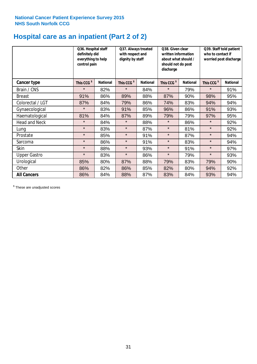# **Hospital care as an inpatient (Part 2 of 2)**

|                      | Q36. Hospital staff<br>definitely did<br>everything to help<br>control pain |                 | Q37. Always treated<br>with respect and<br>dignity by staff |                 | Q38. Given clear<br>written information<br>about what should /<br>should not do post<br>discharge |                 | Q39. Staff told patient<br>who to contact if<br>worried post discharge |                 |  |
|----------------------|-----------------------------------------------------------------------------|-----------------|-------------------------------------------------------------|-----------------|---------------------------------------------------------------------------------------------------|-----------------|------------------------------------------------------------------------|-----------------|--|
| Cancer type          | This CCG <sup>\$</sup>                                                      | <b>National</b> | This CCG <sup>\$</sup>                                      | <b>National</b> | This CCG <sup>\$</sup>                                                                            | <b>National</b> | This CCG <sup>\$</sup>                                                 | <b>National</b> |  |
| Brain / CNS          | $\star$                                                                     | 82%             | $\star$                                                     | 84%             | $\star$                                                                                           | 79%             | $\star$                                                                | 91%             |  |
| <b>Breast</b>        | 91%                                                                         | 86%             | 89%                                                         | 88%             | 87%                                                                                               | 90%             | 98%                                                                    | 95%             |  |
| Colorectal / LGT     | 87%                                                                         | 84%             | 79%                                                         | 86%             | 74%                                                                                               | 83%             | 94%                                                                    | 94%             |  |
| Gynaecological       | $\star$                                                                     | 83%             | 91%                                                         | 85%             | 96%                                                                                               | 86%             | 91%                                                                    | 93%             |  |
| Haematological       | 81%                                                                         | 84%             | 87%                                                         | 89%             | 79%                                                                                               | 79%             | 97%                                                                    | 95%             |  |
| <b>Head and Neck</b> | $\star$                                                                     | 84%             | $\star$                                                     | 88%             | $\star$                                                                                           | 86%             | $\star$                                                                | 92%             |  |
| Lung                 | $\star$                                                                     | 83%             | $\star$                                                     | 87%             | $\star$                                                                                           | 81%             | $\star$                                                                | 92%             |  |
| Prostate             | $\star$                                                                     | 85%             | $\star$                                                     | 91%             | $\star$                                                                                           | 87%             | $\star$                                                                | 94%             |  |
| Sarcoma              | $\star$                                                                     | 86%             | $\star$                                                     | 91%             | $\star$                                                                                           | 83%             | $\star$                                                                | 94%             |  |
| Skin                 | $\star$                                                                     | 88%             | $\star$                                                     | 93%             | $\star$                                                                                           | 91%             | $\star$                                                                | 97%             |  |
| <b>Upper Gastro</b>  | $\star$                                                                     | 83%             | $\star$                                                     | 86%             | $\star$                                                                                           | 79%             | $\star$                                                                | 93%             |  |
| Urological           | 85%                                                                         | 80%             | 87%                                                         | 88%             | 79%                                                                                               | 83%             | 79%                                                                    | 90%             |  |
| Other                | 86%                                                                         | 82%             | 86%                                                         | 85%             | 82%                                                                                               | 80%             | 94%                                                                    | 92%             |  |
| <b>All Cancers</b>   | 86%                                                                         | 84%             | 88%                                                         | 87%             | 83%                                                                                               | 84%             | 93%                                                                    | 94%             |  |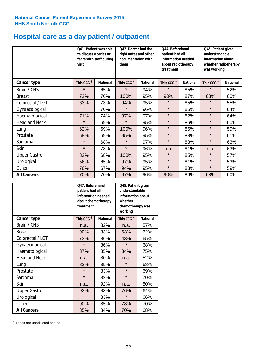# **Hospital care as a day patient / outpatient**

|                      | to discuss worries or<br>visit | Q41. Patient was able<br>fears with staff during | Q42. Doctor had the<br>right notes and other<br>documentation with<br>them |                 | Q44. Beforehand<br>patient had all<br>information needed<br>about radiotherapy<br>treatment |                 | Q45. Patient given<br>understandable<br>information about<br>whether radiotherapy<br>was working |                 |
|----------------------|--------------------------------|--------------------------------------------------|----------------------------------------------------------------------------|-----------------|---------------------------------------------------------------------------------------------|-----------------|--------------------------------------------------------------------------------------------------|-----------------|
| <b>Cancer type</b>   | This CCG <sup>\$</sup>         | <b>National</b>                                  | This CCG <sup>\$</sup>                                                     | <b>National</b> | This CCG <sup>\$</sup>                                                                      | <b>National</b> | This CCG <sup>\$</sup>                                                                           | <b>National</b> |
| Brain / CNS          | $\star$                        | 65%                                              | $\star$                                                                    | 94%             | $\star$                                                                                     | 85%             | $\star$                                                                                          | 52%             |
| <b>Breast</b>        | 72%                            | 70%                                              | 100%                                                                       | 95%             | 90%                                                                                         | 87%             | 63%                                                                                              | 60%             |
| Colorectal / LGT     | 63%                            | 73%                                              | 94%                                                                        | 95%             | $\star$                                                                                     | 85%             | $\star$                                                                                          | 55%             |
| Gynaecological       | $\star$                        | 70%                                              | $\star$                                                                    | 96%             | $\star$                                                                                     | 85%             | $\star$                                                                                          | 64%             |
| Haematological       | 71%                            | 74%                                              | 97%                                                                        | 97%             | $\star$                                                                                     | 82%             | $\star$                                                                                          | 64%             |
| <b>Head and Neck</b> | $\star$                        | 69%                                              | $\star$                                                                    | 95%             | $\star$                                                                                     | 86%             | $\star$                                                                                          | 60%             |
| Lung                 | 62%                            | 69%                                              | 100%                                                                       | 96%             | $\star$                                                                                     | 86%             | $\star$                                                                                          | 59%             |
| Prostate             | 68%                            | 69%                                              | 95%                                                                        | 95%             | $\star$                                                                                     | 88%             | $\star$                                                                                          | 61%             |
| Sarcoma              | $\star$                        | 68%                                              | $\star$                                                                    | 97%             | $\star$                                                                                     | 88%             | $\star$                                                                                          | 63%             |
| Skin                 | $\star$                        | 73%                                              | $\star$                                                                    | 96%             | n.a.                                                                                        | 81%             | n.a.                                                                                             | 63%             |
| <b>Upper Gastro</b>  | 82%                            | 68%                                              | 100%                                                                       | 95%             | $\star$                                                                                     | 85%             | $\star$                                                                                          | 57%             |
| Urological           | 56%                            | 65%                                              | 97%                                                                        | 95%             | $\star$                                                                                     | 81%             | $\star$                                                                                          | 53%             |
| Other                | 76%                            | 67%                                              | 94%                                                                        | 95%             | $\star$                                                                                     | 83%             | $\star$                                                                                          | 59%             |
| <b>All Cancers</b>   | 70%                            | 70%                                              | 97%                                                                        | 96%             | 90%                                                                                         | 86%             | 63%                                                                                              | 60%             |

|                      | O47. Beforehand<br>patient had all<br>information needed<br>treatment | about chemotherapy | Q48. Patient given<br>understandable<br>information about<br>whether<br>chemotherapy was<br>working |                 |  |
|----------------------|-----------------------------------------------------------------------|--------------------|-----------------------------------------------------------------------------------------------------|-----------------|--|
| <b>Cancer type</b>   | This CCG <sup>\$</sup>                                                | <b>National</b>    | This CCG <sup>\$</sup>                                                                              | <b>National</b> |  |
| Brain / CNS          | n.a.                                                                  | 82%                | n.a.                                                                                                | 57%             |  |
| <b>Breast</b>        | 90%                                                                   | 83%                | 63%                                                                                                 | 62%             |  |
| Colorectal / LGT     | 73%                                                                   | 86%                | 43%                                                                                                 | 65%             |  |
| Gynaecological       | $\star$                                                               | 86%                | $\star$                                                                                             | 68%             |  |
| Haematological       | 87%<br>85%                                                            |                    | 84%                                                                                                 | 75%             |  |
| <b>Head and Neck</b> | n.a.                                                                  | 80%                | n.a.                                                                                                | 52%             |  |
| Lung                 | 82%                                                                   | 85%                | $\star$                                                                                             | 68%             |  |
| Prostate             | $\star$                                                               | 83%                | $\star$                                                                                             | 69%             |  |
| Sarcoma              | $\star$                                                               | 82%                | $\star$                                                                                             | 70%             |  |
| Skin                 | n.a.                                                                  | 92%                | n.a.                                                                                                | 80%             |  |
| <b>Upper Gastro</b>  | 92%                                                                   | 83%                | 76%                                                                                                 | 64%             |  |
| Urological           | $\star$                                                               | 83%                |                                                                                                     | 66%             |  |
| Other                | 90%                                                                   | 85%                | 78%                                                                                                 | 70%             |  |
| <b>All Cancers</b>   | 85%                                                                   | 84%                | 70%                                                                                                 | 68%             |  |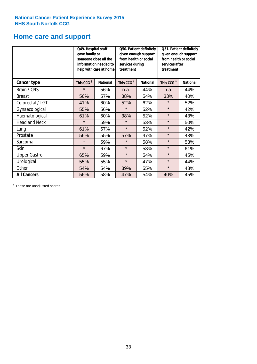# **Home care and support**

|                      | Q49. Hospital staff<br>gave family or | someone close all the<br>information needed to<br>help with care at home | Q50. Patient definitely<br>given enough support<br>from health or social<br>services during<br>treatment |                 | Q51. Patient definitely<br>given enough support<br>from health or social<br>services after<br>treatment |                 |
|----------------------|---------------------------------------|--------------------------------------------------------------------------|----------------------------------------------------------------------------------------------------------|-----------------|---------------------------------------------------------------------------------------------------------|-----------------|
| <b>Cancer type</b>   | This CCG <sup>\$</sup>                | <b>National</b>                                                          | This CCG <sup>\$</sup>                                                                                   | <b>National</b> | This CCG <sup>\$</sup>                                                                                  | <b>National</b> |
| Brain / CNS          | $\star$                               | 56%                                                                      | n.a.                                                                                                     | 44%             | n.a.                                                                                                    | 44%             |
| <b>Breast</b>        | 56%                                   | 57%                                                                      | 38%                                                                                                      | 54%             | 33%                                                                                                     | 40%             |
| Colorectal / LGT     | 41%                                   | 60%                                                                      | 52%                                                                                                      | 62%             | $\star$                                                                                                 | 52%             |
| Gynaecological       | 55%                                   | 56%                                                                      | $\star$                                                                                                  | 52%             | $\star$                                                                                                 | 42%             |
| Haematological       | 61%                                   | 60%                                                                      | 38%                                                                                                      | 52%             | $\star$                                                                                                 | 43%             |
| <b>Head and Neck</b> | $\star$                               | 59%                                                                      | $\star$                                                                                                  | 53%             | $\star$                                                                                                 | 50%             |
| Lung                 | 61%                                   | 57%                                                                      | $\star$                                                                                                  | 52%             | $\star$                                                                                                 | 42%             |
| Prostate             | 56%                                   | 55%                                                                      | 57%                                                                                                      | 47%             | $\star$                                                                                                 | 43%             |
| Sarcoma              | $\star$                               | 59%                                                                      | $\star$                                                                                                  | 58%             | $\star$                                                                                                 | 53%             |
| Skin                 | $\star$                               | 67%                                                                      | $\star$                                                                                                  | 58%             | $\star$                                                                                                 | 61%             |
| <b>Upper Gastro</b>  | 65%                                   | 59%                                                                      | $\star$                                                                                                  | 54%             | $\star$                                                                                                 | 45%             |
| Urological           | 55%                                   | 55%                                                                      | $\star$                                                                                                  | 47%             | $\star$                                                                                                 | 44%             |
| Other                | 54%                                   | 54%                                                                      | 39%                                                                                                      | 55%             | $\star$                                                                                                 | 48%             |
| <b>All Cancers</b>   | 56%                                   | 58%                                                                      | 47%                                                                                                      | 54%             | 40%                                                                                                     | 45%             |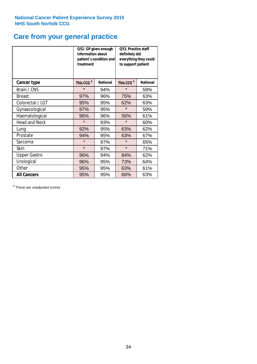# **Care from your general practice**

|                      | information about<br>treatment | Q52. GP given enough<br>patient's condition and | Q53. Practice staff<br>definitely did<br>everything they could<br>to support patient |                 |  |
|----------------------|--------------------------------|-------------------------------------------------|--------------------------------------------------------------------------------------|-----------------|--|
| <b>Cancer type</b>   | This CCG <sup>\$</sup>         | <b>National</b>                                 | This CCG <sup>\$</sup>                                                               | <b>National</b> |  |
| Brain / CNS          | $\star$                        | 94%                                             | $\star$                                                                              | 59%             |  |
| <b>Breast</b>        | 97%                            | 96%                                             | 75%                                                                                  | 63%             |  |
| Colorectal / LGT     | 95%                            | 95%                                             | 62%                                                                                  | 63%             |  |
| Gynaecological       | 87%                            | 95%                                             | $\star$                                                                              | 59%             |  |
| Haematological       | 96%                            | 96%                                             | 56%                                                                                  | 61%             |  |
| <b>Head and Neck</b> | $\star$                        | 93%                                             | $\star$                                                                              | 60%             |  |
| Lung                 | 92%                            | 95%                                             | 63%                                                                                  | 62%             |  |
| Prostate             | 94%                            | 95%                                             | 63%                                                                                  | 67%             |  |
| Sarcoma              | $\star$                        | 97%                                             | $\star$                                                                              | 65%             |  |
| <b>Skin</b>          | $\star$                        | 97%                                             | $\star$                                                                              | 71%             |  |
| <b>Upper Gastro</b>  | 96%                            | 94%                                             | 84%                                                                                  | 62%             |  |
| Urological           | 96%                            | 95%                                             | 73%                                                                                  | 64%             |  |
| Other                | 95%                            | 95%                                             | 63%                                                                                  | 61%             |  |
| <b>All Cancers</b>   | 95%                            | 95%                                             | 66%                                                                                  | 63%             |  |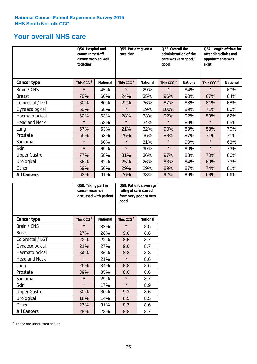# **Your overall NHS care**

|                      | Q54. Hospital and<br>community staff<br>always worked well<br>together |                 | care plan              | Q55. Patient given a |                        | Q56. Overall the<br>administration of the<br>care was very good /<br>qood |                        | Q57. Length of time for<br>attending clinics and<br>appointments was<br>right |  |
|----------------------|------------------------------------------------------------------------|-----------------|------------------------|----------------------|------------------------|---------------------------------------------------------------------------|------------------------|-------------------------------------------------------------------------------|--|
| <b>Cancer type</b>   | This CCG <sup>\$</sup>                                                 | <b>National</b> | This CCG <sup>\$</sup> | <b>National</b>      | This CCG <sup>\$</sup> | <b>National</b>                                                           | This CCG <sup>\$</sup> | <b>National</b>                                                               |  |
| Brain / CNS          | $\star$                                                                | 45%             | $\star$                | 29%                  | $\star$                | 84%                                                                       | $\star$                | 60%                                                                           |  |
| <b>Breast</b>        | 70%                                                                    | 60%             | 24%                    | 35%                  | 96%                    | 90%                                                                       | 67%                    | 64%                                                                           |  |
| Colorectal / LGT     | 60%                                                                    | 60%             | 22%                    | 36%                  | 87%                    | 88%                                                                       | 81%                    | 68%                                                                           |  |
| Gynaecological       | 60%                                                                    | 58%             | $\star$                | 29%                  | 100%                   | 89%                                                                       | 71%                    | 66%                                                                           |  |
| Haematological       | 62%                                                                    | 63%             | 28%                    | 33%                  | 92%                    | 92%                                                                       | 59%                    | 62%                                                                           |  |
| <b>Head and Neck</b> | $\star$                                                                | 58%             | $\star$                | 34%                  | $\star$                | 89%                                                                       | $\star$                | 65%                                                                           |  |
| Lung                 | 57%                                                                    | 63%             | 21%                    | 32%                  | 90%                    | 89%                                                                       | 53%                    | 70%                                                                           |  |
| Prostate             | 55%                                                                    | 63%             | 26%                    | 36%                  | 88%                    | 87%                                                                       | 71%                    | 71%                                                                           |  |
| Sarcoma              | $\star$                                                                | 60%             | $\star$                | 31%                  | $\star$                | 90%                                                                       | $\star$                | 63%                                                                           |  |
| Skin                 | $\star$                                                                | 69%             | $\star$                | 39%                  | $\star$                | 89%                                                                       | $\star$                | 73%                                                                           |  |
| <b>Upper Gastro</b>  | 77%                                                                    | 58%             | 31%                    | 36%                  | 97%                    | 88%                                                                       | 70%                    | 66%                                                                           |  |
| Urological           | 66%                                                                    | 62%             | 25%                    | 26%                  | 83%                    | 84%                                                                       | 69%                    | 73%                                                                           |  |
| Other                | 59%                                                                    | 56%             | 29%                    | 29%                  | 89%                    | 87%                                                                       | 74%                    | 61%                                                                           |  |
| <b>All Cancers</b>   | 63%                                                                    | 61%             | 26%                    | 33%                  | 92%                    | 89%                                                                       | 68%                    | 66%                                                                           |  |

|                      | Q58. Taking part in<br>cancer research | discussed with patient | Q59. Patient's average<br>rating of care scored<br>from very poor to very<br>good |                 |  |
|----------------------|----------------------------------------|------------------------|-----------------------------------------------------------------------------------|-----------------|--|
| <b>Cancer type</b>   | This CCG <sup>\$</sup>                 | <b>National</b>        | This CCG <sup>\$</sup>                                                            | <b>National</b> |  |
| Brain / CNS          | $\star$                                | 32%                    | $\star$                                                                           | 8.5             |  |
| <b>Breast</b>        | 27%                                    | 28%                    | 9.0                                                                               | 8.8             |  |
| Colorectal / LGT     | 22%                                    | 22%                    | 8.5                                                                               | 8.7             |  |
| Gynaecological       | 21%                                    | 27%                    | 9.0                                                                               | 8.7             |  |
| Haematological       | 34%                                    | 36%                    | 8.8                                                                               | 8.8             |  |
| <b>Head and Neck</b> | $\star$                                | 21%                    | $\star$                                                                           | 8.6             |  |
| Lung                 | 25%                                    | 34%                    | 8.8                                                                               | 8.6             |  |
| Prostate             | 39%                                    | 35%                    | 8.6                                                                               | 8.6             |  |
| Sarcoma              | $\star$                                | 29%                    | $\star$                                                                           | 8.7             |  |
| <b>Skin</b>          | $\star$                                | 17%                    | $\star$                                                                           | 8.9             |  |
| <b>Upper Gastro</b>  | 30%                                    | 30%                    | 9.2                                                                               | 8.6             |  |
| Urological           | 18%                                    | 14%                    | 8.5                                                                               | 8.5             |  |
| Other                | 27%                                    | 31%                    | 8.7                                                                               | 8.6             |  |
| <b>All Cancers</b>   | 28%                                    | 28%                    | 8.8                                                                               | 8.7             |  |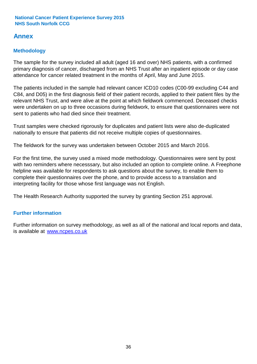# **Annex**

# **Methodology**

The sample for the survey included all adult (aged 16 and over) NHS patients, with a confirmed primary diagnosis of cancer, discharged from an NHS Trust after an inpatient episode or day case attendance for cancer related treatment in the months of April, May and June 2015.

The patients included in the sample had relevant cancer ICD10 codes (C00-99 excluding C44 and C84, and D05) in the first diagnosis field of their patient records, applied to their patient files by the relevant NHS Trust, and were alive at the point at which fieldwork commenced. Deceased checks were undertaken on up to three occasions during fieldwork, to ensure that questionnaires were not sent to patients who had died since their treatment.

Trust samples were checked rigorously for duplicates and patient lists were also de-duplicated nationally to ensure that patients did not receive multiple copies of questionnaires.

The fieldwork for the survey was undertaken between October 2015 and March 2016.

For the first time, the survey used a mixed mode methodology. Questionnaires were sent by post with two reminders where necesssary, but also included an option to complete online. A Freephone helpline was available for respondents to ask questions about the survey, to enable them to complete their questionnaires over the phone, and to provide access to a translation and interpreting facility for those whose first language was not English.

The Health Research Authority supported the survey by granting Section 251 approval.

# **Further information**

Further information on survey methodology, as well as all of the national and local reports and data, is available at www.ncpes.co.uk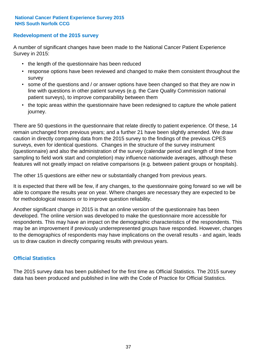# **Redevelopment of the 2015 survey**

A number of significant changes have been made to the National Cancer Patient Experience Survey in 2015:

- the length of the questionnaire has been reduced
- response options have been reviewed and changed to make them consistent throughout the survey
- some of the questions and / or answer options have been changed so that they are now in line with questions in other patient surveys (e.g. the Care Quality Commission national patient surveys), to improve comparability between them
- the topic areas within the questionnaire have been redesigned to capture the whole patient journey.

There are 50 questions in the questionnaire that relate directly to patient experience. Of these, 14 remain unchanged from previous years; and a further 21 have been slightly amended. We draw caution in directly comparing data from the 2015 survey to the findings of the previous CPES surveys, even for identical questions. Changes in the structure of the survey instrument (questionnaire) and also the administration of the survey (calendar period and length of time from sampling to field work start and completion) may influence nationwide averages, although these features will not greatly impact on relative comparisons (e.g. between patient groups or hospitals).

The other 15 questions are either new or substantially changed from previous years.

It is expected that there will be few, if any changes, to the questionnaire going forward so we will be able to compare the results year on year. Where changes are necessary they are expected to be for methodological reasons or to improve question reliability.

Another significant change in 2015 is that an online version of the questionnaire has been developed. The online version was developed to make the questionnaire more accessible for respondents. This may have an impact on the demographic characteristics of the respondents. This may be an improvement if previously underrepresented groups have responded. However, changes to the demographics of respondents may have implications on the overall results - and again, leads us to draw caution in directly comparing results with previous years.

# **Official Statistics**

The 2015 survey data has been published for the first time as Official Statistics. The 2015 survey data has been produced and published in line with the Code of Practice for Official Statistics.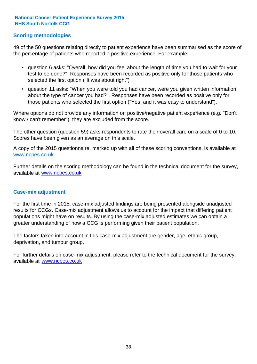# **Scoring methodologies**

49 of the 50 questions relating directly to patient experience have been summarised as the score of the percentage of patients who reported a positive experience. For example:

- question 6 asks: "Overall, how did you feel about the length of time you had to wait for your test to be done?". Responses have been recorded as positive only for those patients who selected the first option ("It was about right")
- question 11 asks: "When you were told you had cancer, were you given written information about the type of cancer you had?". Responses have been recorded as positive only for those patients who selected the first option ("Yes, and it was easy to understand").

Where options do not provide any information on positive/negative patient experience (e.g. "Don't know / can't remember"), they are excluded from the score.

The other question (question 59) asks respondents to rate their overall care on a scale of 0 to 10. Scores have been given as an average on this scale.

A copy of the 2015 questionnaire, marked up with all of these scoring conventions, is available at www.ncpes.co.uk

Further details on the scoring methodology can be found in the technical document for the survey, available at <u>www.ncpes.co.uk</u>

### **Case-mix adjustment**

For the first time in 2015, case-mix adjusted findings are being presented alongside unadjusted results for CCGs. Case-mix adjustment allows us to account for the impact that differing patient populations might have on results. By using the case-mix adjusted estimates we can obtain a greater understanding of how a CCG is performing given their patient population.

The factors taken into account in this case-mix adjustment are gender, age, ethnic group, deprivation, and tumour group.

For further details on case-mix adjustment, please refer to the technical document for the survey, available at www.ncpes.co.uk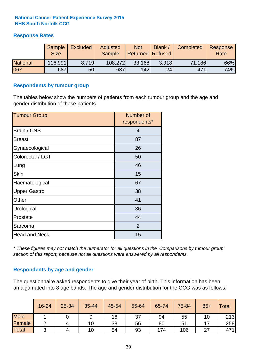# **Response Rates**

|                 | Sample<br><b>Size</b> | <b>Excluded</b> | Adjusted<br><b>Sample</b> | <b>Not</b><br>Returned   Refused | Blank | Completed | Response<br>Rate |
|-----------------|-----------------------|-----------------|---------------------------|----------------------------------|-------|-----------|------------------|
| <b>National</b> | 116,991               | 8.719           | 108,272                   | 33,168                           | 3.918 | 71,186    | 66%              |
| <b>06Y</b>      | 687                   | 50              | 637                       | 142                              | 24    | 471       | 74%              |

# **Respondents by tumour group**

The tables below show the numbers of patients from each tumour group and the age and gender distribution of these patients.

| <b>Tumour Group</b>  | Number of<br>respondents* |  |  |
|----------------------|---------------------------|--|--|
| Brain / CNS          | $\overline{4}$            |  |  |
| <b>Breast</b>        | 87                        |  |  |
| Gynaecological       | 26                        |  |  |
| Colorectal / LGT     | 50                        |  |  |
| Lung                 | 46                        |  |  |
| <b>Skin</b>          | 15                        |  |  |
| Haematological       | 67                        |  |  |
| <b>Upper Gastro</b>  | 38                        |  |  |
| Other                | 41                        |  |  |
| Urological           | 36                        |  |  |
| Prostate             | 44                        |  |  |
| Sarcoma              | $\overline{2}$            |  |  |
| <b>Head and Neck</b> | 15                        |  |  |

*\* These figures may not match the numerator for all questions in the 'Comparisons by tumour group' section of this report, because not all questions were answered by all respondents.*

# **Respondents by age and gender**

The questionnaire asked respondents to give their year of birth. This information has been amalgamated into 8 age bands. The age and gender distribution for the CCG was as follows:

|             | 16-24      | $25 - 34$ | 35-44 | 45-54 | 55-64 | 65-74 | 75-84 | $85+$ | <b>Total</b> |
|-------------|------------|-----------|-------|-------|-------|-------|-------|-------|--------------|
| <b>Male</b> |            |           |       | 16    | 37    | 94    | 55    | 10    | 213          |
| Female      | ◠          |           | 10    | 38    | 56    | 80    | 51    |       | 258          |
| Total       | $\sqrt{2}$ |           | 10    | 54    | 93    | 174   | 106   | ົ     | 471          |